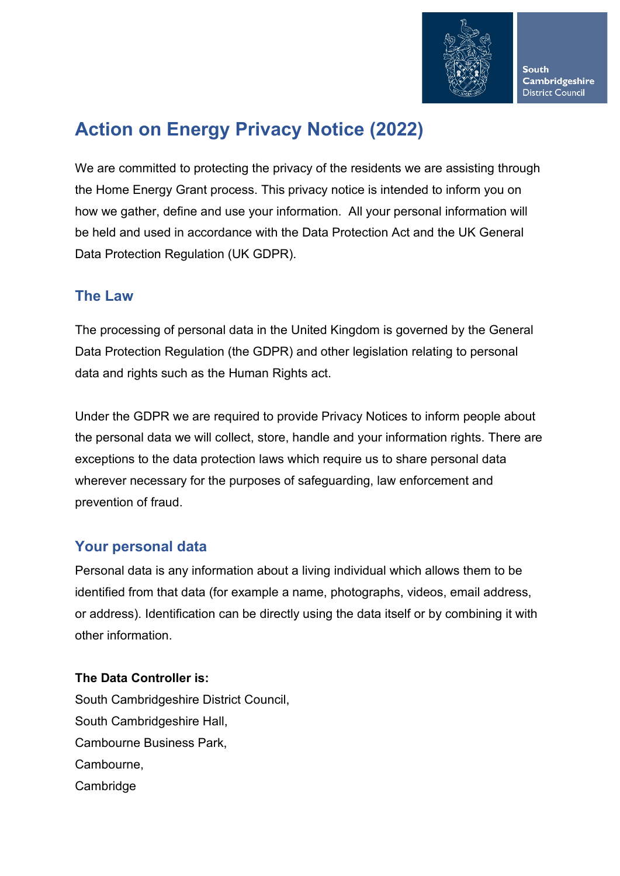

# **Action on Energy Privacy Notice (2022)**

We are committed to protecting the privacy of the residents we are assisting through the Home Energy Grant process. This privacy notice is intended to inform you on how we gather, define and use your information. All your personal information will be held and used in accordance with the Data Protection Act and the UK General Data Protection Regulation (UK GDPR).

# **The Law**

The processing of personal data in the United Kingdom is governed by the General Data Protection Regulation (the GDPR) and other legislation relating to personal data and rights such as the Human Rights act.

Under the GDPR we are required to provide Privacy Notices to inform people about the personal data we will collect, store, handle and your information rights. There are exceptions to the data protection laws which require us to share personal data wherever necessary for the purposes of safeguarding, law enforcement and prevention of fraud.

# **Your personal data**

Personal data is any information about a living individual which allows them to be identified from that data (for example a name, photographs, videos, email address, or address). Identification can be directly using the data itself or by combining it with other information.

#### **The Data Controller is:**

South Cambridgeshire District Council, South Cambridgeshire Hall, Cambourne Business Park, Cambourne, **Cambridge**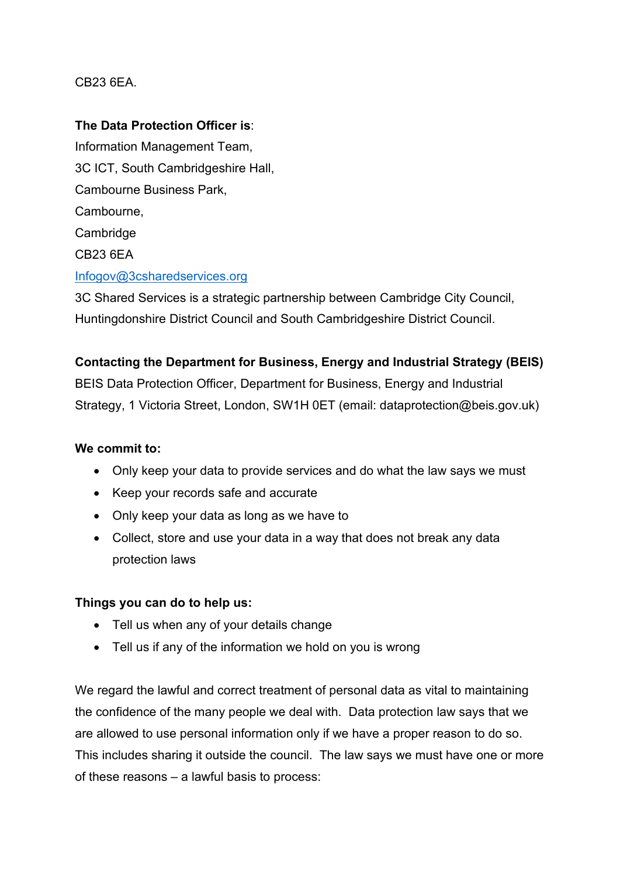#### CB23 6EA.

#### **The Data Protection Officer is**:

Information Management Team, 3C ICT, South Cambridgeshire Hall, Cambourne Business Park, Cambourne, **Cambridge** CB23 6EA [Infogov@3csharedservices.org](mailto:Infogov@3csharedservices.org) 

3C Shared Services is a strategic partnership between Cambridge City Council, Huntingdonshire District Council and South Cambridgeshire District Council.

#### **Contacting the Department for Business, Energy and Industrial Strategy (BEIS)**

BEIS Data Protection Officer, Department for Business, Energy and Industrial Strategy, 1 Victoria Street, London, SW1H 0ET (email: dataprotection@beis.gov.uk)

#### **We commit to:**

- Only keep your data to provide services and do what the law says we must
- Keep your records safe and accurate
- Only keep your data as long as we have to
- Collect, store and use your data in a way that does not break any data protection laws

#### **Things you can do to help us:**

- Tell us when any of your details change
- Tell us if any of the information we hold on you is wrong

We regard the lawful and correct treatment of personal data as vital to maintaining the confidence of the many people we deal with. Data protection law says that we are allowed to use personal information only if we have a proper reason to do so. This includes sharing it outside the council. The law says we must have one or more of these reasons – a lawful basis to process: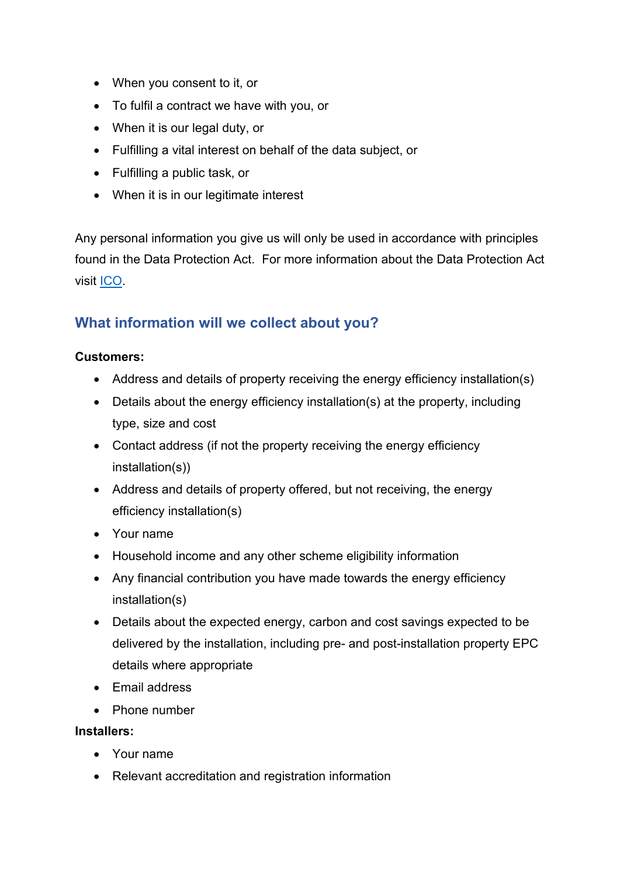- When you consent to it, or
- To fulfil a contract we have with you, or
- When it is our legal duty, or
- Fulfilling a vital interest on behalf of the data subject, or
- Fulfilling a public task, or
- When it is in our legitimate interest

Any personal information you give us will only be used in accordance with principles found in the Data Protection Act. For more information about the Data Protection Act visit [ICO.](https://ico.org.uk/)

### **What information will we collect about you?**

#### **Customers:**

- Address and details of property receiving the energy efficiency installation(s)
- Details about the energy efficiency installation(s) at the property, including type, size and cost
- Contact address (if not the property receiving the energy efficiency installation(s))
- Address and details of property offered, but not receiving, the energy efficiency installation(s)
- Your name
- Household income and any other scheme eligibility information
- Any financial contribution you have made towards the energy efficiency installation(s)
- Details about the expected energy, carbon and cost savings expected to be delivered by the installation, including pre- and post-installation property EPC details where appropriate
- Email address
- Phone number

#### **Installers:**

- Your name
- Relevant accreditation and registration information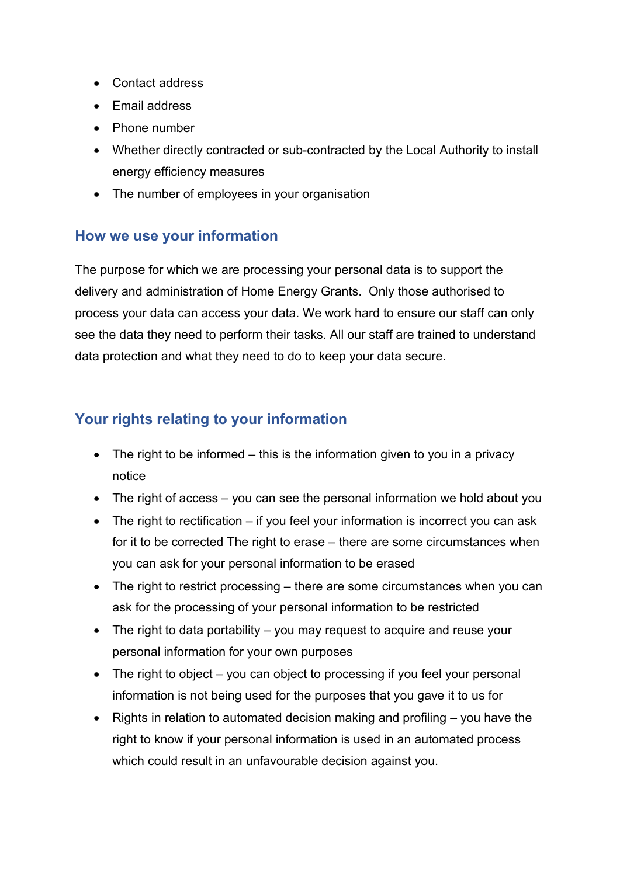- Contact address
- Email address
- Phone number
- Whether directly contracted or sub-contracted by the Local Authority to install energy efficiency measures
- The number of employees in your organisation

### **How we use your information**

The purpose for which we are processing your personal data is to support the delivery and administration of Home Energy Grants. Only those authorised to process your data can access your data. We work hard to ensure our staff can only see the data they need to perform their tasks. All our staff are trained to understand data protection and what they need to do to keep your data secure.

# **Your rights relating to your information**

- The right to be informed  $-$  this is the information given to you in a privacy notice
- The right of access you can see the personal information we hold about you
- The right to rectification if you feel your information is incorrect you can ask for it to be corrected The right to erase – there are some circumstances when you can ask for your personal information to be erased
- The right to restrict processing there are some circumstances when you can ask for the processing of your personal information to be restricted
- The right to data portability you may request to acquire and reuse your personal information for your own purposes
- The right to object you can object to processing if you feel your personal information is not being used for the purposes that you gave it to us for
- Rights in relation to automated decision making and profiling you have the right to know if your personal information is used in an automated process which could result in an unfavourable decision against you.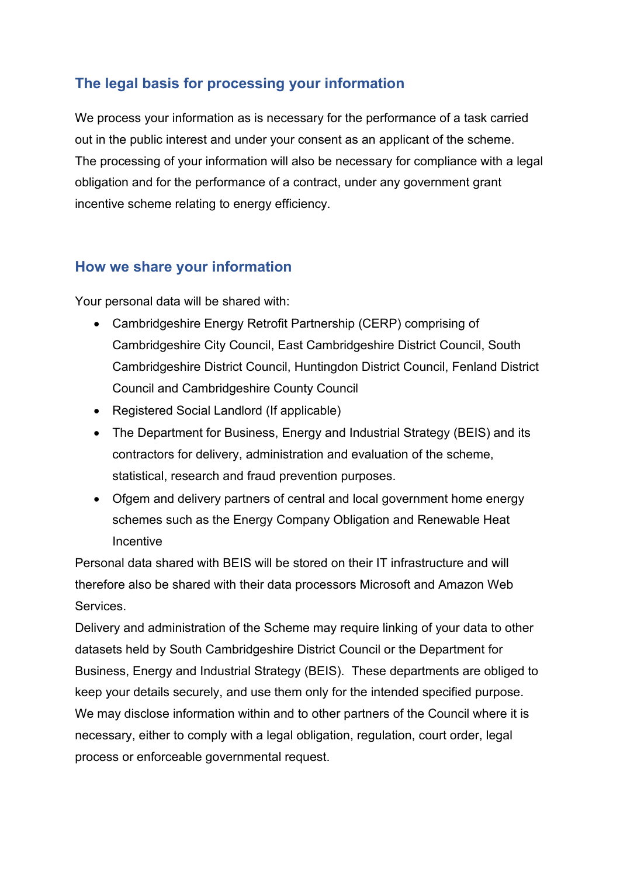# **The legal basis for processing your information**

We process your information as is necessary for the performance of a task carried out in the public interest and under your consent as an applicant of the scheme. The processing of your information will also be necessary for compliance with a legal obligation and for the performance of a contract, under any government grant incentive scheme relating to energy efficiency.

### **How we share your information**

Your personal data will be shared with:

- Cambridgeshire Energy Retrofit Partnership (CERP) comprising of Cambridgeshire City Council, East Cambridgeshire District Council, South Cambridgeshire District Council, Huntingdon District Council, Fenland District Council and Cambridgeshire County Council
- Registered Social Landlord (If applicable)
- The Department for Business, Energy and Industrial Strategy (BEIS) and its contractors for delivery, administration and evaluation of the scheme, statistical, research and fraud prevention purposes.
- Ofgem and delivery partners of central and local government home energy schemes such as the Energy Company Obligation and Renewable Heat Incentive

Personal data shared with BEIS will be stored on their IT infrastructure and will therefore also be shared with their data processors Microsoft and Amazon Web Services.

Delivery and administration of the Scheme may require linking of your data to other datasets held by South Cambridgeshire District Council or the Department for Business, Energy and Industrial Strategy (BEIS). These departments are obliged to keep your details securely, and use them only for the intended specified purpose. We may disclose information within and to other partners of the Council where it is necessary, either to comply with a legal obligation, regulation, court order, legal process or enforceable governmental request.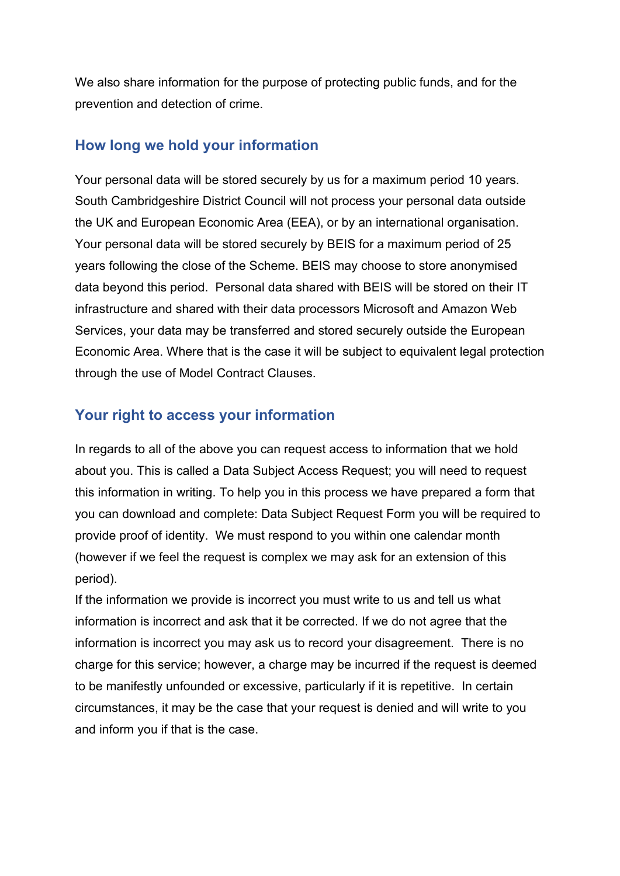We also share information for the purpose of protecting public funds, and for the prevention and detection of crime.

#### **How long we hold your information**

Your personal data will be stored securely by us for a maximum period 10 years. South Cambridgeshire District Council will not process your personal data outside the UK and European Economic Area (EEA), or by an international organisation. Your personal data will be stored securely by BEIS for a maximum period of 25 years following the close of the Scheme. BEIS may choose to store anonymised data beyond this period. Personal data shared with BEIS will be stored on their IT infrastructure and shared with their data processors Microsoft and Amazon Web Services, your data may be transferred and stored securely outside the European Economic Area. Where that is the case it will be subject to equivalent legal protection through the use of Model Contract Clauses.

### **Your right to access your information**

In regards to all of the above you can request access to information that we hold about you. This is called a Data Subject Access Request; you will need to request this information in writing. To help you in this process we have prepared a form that you can download and complete: Data Subject Request Form you will be required to provide proof of identity. We must respond to you within one calendar month (however if we feel the request is complex we may ask for an extension of this period).

If the information we provide is incorrect you must write to us and tell us what information is incorrect and ask that it be corrected. If we do not agree that the information is incorrect you may ask us to record your disagreement. There is no charge for this service; however, a charge may be incurred if the request is deemed to be manifestly unfounded or excessive, particularly if it is repetitive. In certain circumstances, it may be the case that your request is denied and will write to you and inform you if that is the case.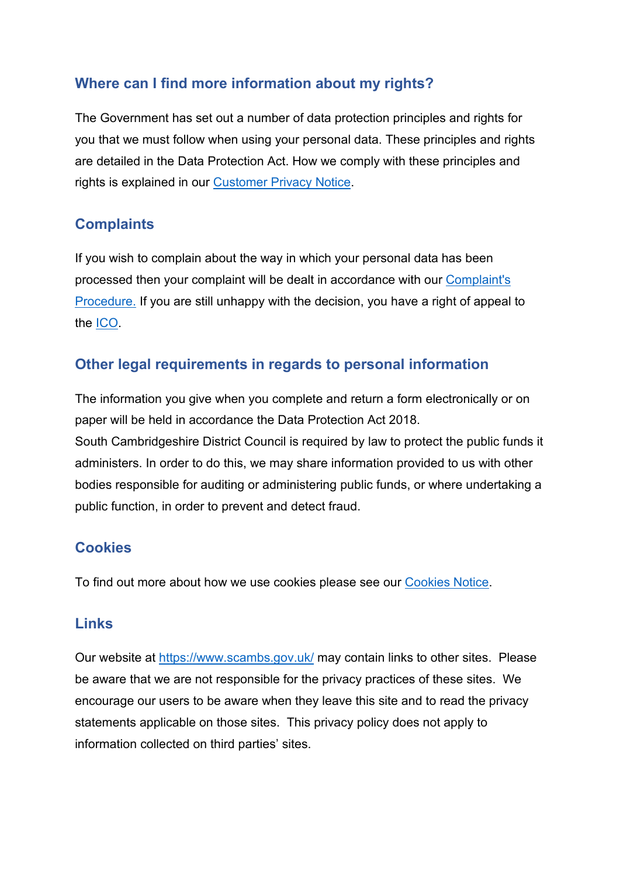# **Where can I find more information about my rights?**

The Government has set out a number of data protection principles and rights for you that we must follow when using your personal data. These principles and rights are detailed in the Data Protection Act. How we comply with these principles and rights is explained in our [Customer Privacy Notice.](https://www.scambs.gov.uk/your-council-and-democracy/access-to-information/customer-privacy-notice/)

# **Complaints**

If you wish to complain about the way in which your personal data has been processed then your complaint will be dealt in accordance with our [Complaint's](https://www.scambs.gov.uk/your-council-and-democracy/access-to-information/customer-privacy-notice/#C14)  [Procedure.](https://www.scambs.gov.uk/your-council-and-democracy/access-to-information/customer-privacy-notice/#C14) If you are still unhappy with the decision, you have a right of appeal to the [ICO.](https://ico.org.uk/)

### **Other legal requirements in regards to personal information**

The information you give when you complete and return a form electronically or on paper will be held in accordance the Data Protection Act 2018. South Cambridgeshire District Council is required by law to protect the public funds it administers. In order to do this, we may share information provided to us with other bodies responsible for auditing or administering public funds, or where undertaking a public function, in order to prevent and detect fraud.

# **Cookies**

To find out more about how we use cookies please see our [Cookies Notice.](https://www.scambs.gov.uk/your-council-and-democracy/access-to-information/customer-privacy-notice/#C12)

### **Links**

Our website at<https://www.scambs.gov.uk/> may contain links to other sites. Please be aware that we are not responsible for the privacy practices of these sites. We encourage our users to be aware when they leave this site and to read the privacy statements applicable on those sites. This privacy policy does not apply to information collected on third parties' sites.